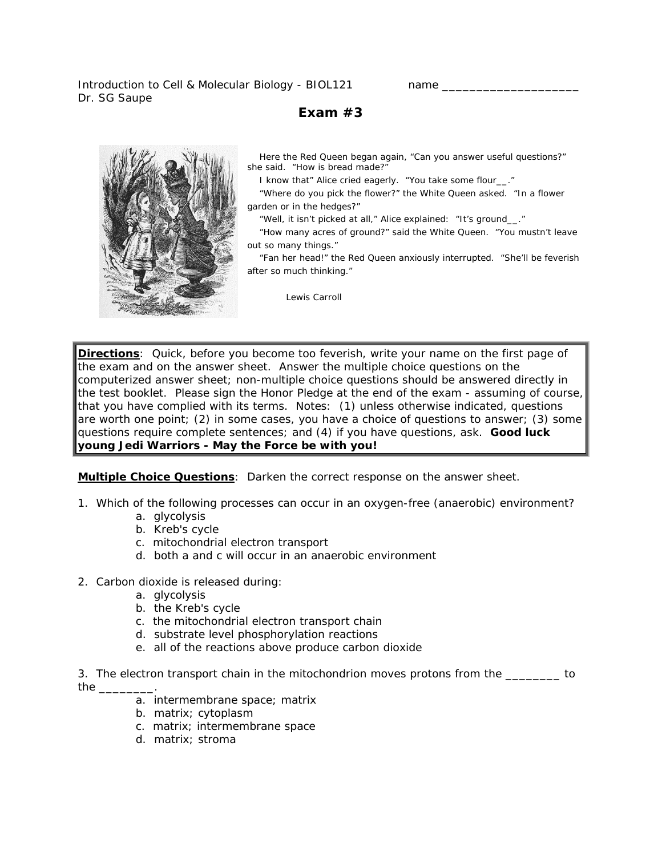Introduction to Cell & Molecular Biology - BIOL121 name Dr. SG Saupe

# **Exam #3**



 Here the Red Queen began again, "Can you answer useful questions?" she said. "How is bread made?"

I know that" Alice cried eagerly. "You take some flour\_\_."

 "Where do you pick the flower?" the White Queen asked. "In a flower garden or in the hedges?"

"Well, it isn't picked at all," Alice explained: "It's ground\_\_."

 "How many acres of ground?" said the White Queen. "You mustn't leave out so many things."

 "Fan her head!" the Red Queen anxiously interrupted. "She'll be feverish after so much thinking."

*Lewis Carroll* 

**Directions**: Quick, before you become too feverish, write your name on the first page of the exam and on the answer sheet. Answer the multiple choice questions on the computerized answer sheet; non-multiple choice questions should be answered directly in the test booklet. Please sign the Honor Pledge at the end of the exam - assuming of course, that you have complied with its terms. Notes: (1) unless otherwise indicated, questions are worth one point; (2) in some cases, you have a choice of questions to answer; (3) some questions require complete sentences; and (4) if you have questions, ask. **Good luck young Jedi Warriors - May the Force be with you!**

**Multiple Choice Questions***: Darken the correct response on the answer sheet.* 

- 1. Which of the following processes can occur in an oxygen-free (anaerobic) environment?
	- a. glycolysis
	- b. Kreb's cycle
	- c. mitochondrial electron transport
	- d. both a and c will occur in an anaerobic environment
- 2. Carbon dioxide is released during:
	- a. glycolysis
	- b. the Kreb's cycle
	- c. the mitochondrial electron transport chain
	- d. substrate level phosphorylation reactions
	- e. all of the reactions above produce carbon dioxide

3. The electron transport chain in the mitochondrion moves protons from the \_\_\_\_\_\_\_\_ to the \_\_\_\_\_\_\_\_.

- a. intermembrane space; matrix
- b. matrix; cytoplasm
- c. matrix; intermembrane space
- d. matrix; stroma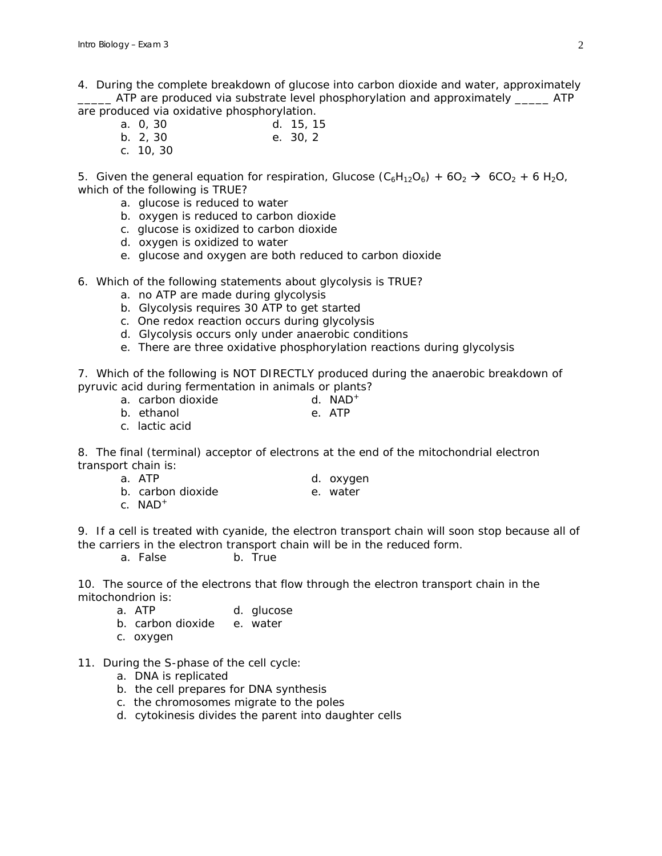4. During the complete breakdown of glucose into carbon dioxide and water, approximately ATP are produced via substrate level phosphorylation and approximately \_\_\_\_\_\_ ATP are produced via oxidative phosphorylation.

- a. 0, 30 d. 15, 15 b. 2, 30 e. 30, 2
- c. 10, 30

5. Given the general equation for respiration, Glucose  $(C_6H_{12}O_6) + 6O_2 \rightarrow 6CO_2 + 6H_2O$ , which of the following is TRUE?

- a. glucose is reduced to water
- b. oxygen is reduced to carbon dioxide
- c. glucose is oxidized to carbon dioxide
- d. oxygen is oxidized to water
- e. glucose and oxygen are both reduced to carbon dioxide
- 6. Which of the following statements about glycolysis is TRUE?
	- a. no ATP are made during glycolysis
	- b. Glycolysis requires 30 ATP to get started
	- c. One redox reaction occurs during glycolysis
	- d. Glycolysis occurs only under anaerobic conditions
	- e. There are three oxidative phosphorylation reactions during glycolysis

7. Which of the following is NOT DIRECTLY produced during the anaerobic breakdown of pyruvic acid during fermentation in animals or plants?

- a. carbon dioxide d. NAD<sup>+</sup>
- b. ethanol e. ATP
- c. lactic acid

8. The final (terminal) acceptor of electrons at the end of the mitochondrial electron transport chain is:

- a. ATP d. oxygen
- b. carbon dioxide b. water
- -
- c. NAD<sup>+</sup>

9. If a cell is treated with cyanide, the electron transport chain will soon stop because all of the carriers in the electron transport chain will be in the reduced form.

a. False b. True

10. The source of the electrons that flow through the electron transport chain in the mitochondrion is:

- a. ATP d. glucose
- b. carbon dioxide e. water
- c. oxygen
- 11. During the S-phase of the cell cycle:
	- a. DNA is replicated
	- b. the cell prepares for DNA synthesis
	- c. the chromosomes migrate to the poles
	- d. cytokinesis divides the parent into daughter cells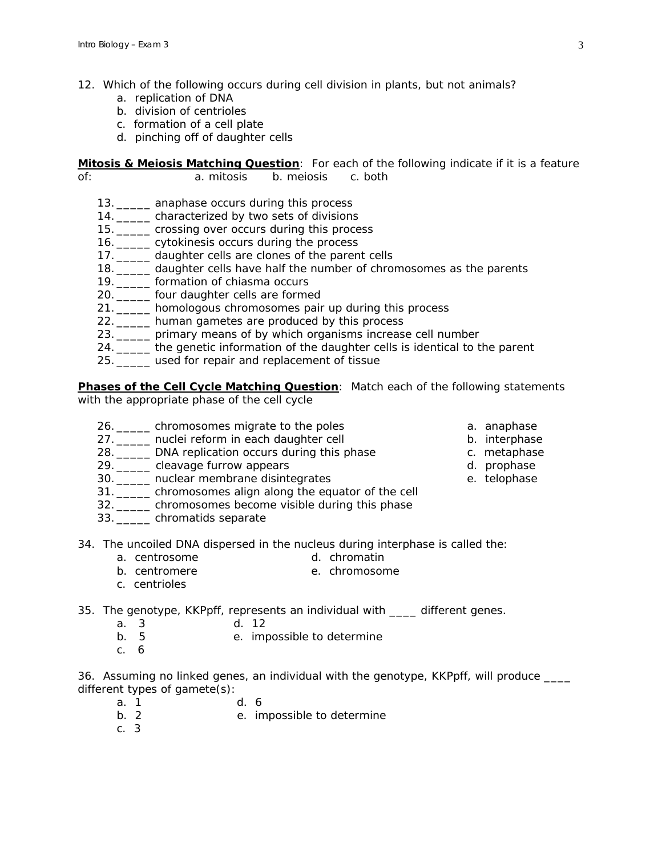- 12. Which of the following occurs during cell division in plants, but not animals?
	- a. replication of DNA
	- b. division of centrioles
	- c. formation of a cell plate
	- d. pinching off of daughter cells

**Mitosis & Meiosis Matching Question**: *For each of the following indicate if it is a feature of*: a. mitosis b. meiosis c. both

- 13. \_\_\_\_\_ anaphase occurs during this process
- 14. \_\_\_\_\_ characterized by two sets of divisions
- 15. \_\_\_\_\_ crossing over occurs during this process
- 16. \_\_\_\_\_ cytokinesis occurs during the process
- 17. \_\_\_\_\_ daughter cells are clones of the parent cells
- 18. \_\_\_\_\_ daughter cells have half the number of chromosomes as the parents
- 19. **Example 19.** formation of chiasma occurs
- 20. \_\_\_\_\_ four daughter cells are formed
- 21. \_\_\_\_\_ homologous chromosomes pair up during this process
- 22. \_\_\_\_\_ human gametes are produced by this process
- 23. \_\_\_\_\_ primary means of by which organisms increase cell number
- 24. \_\_\_\_\_ the genetic information of the daughter cells is identical to the parent
- 25. \_\_\_\_\_ used for repair and replacement of tissue

## **Phases of the Cell Cycle Matching Question**: *Match each of the following statements*

*with the appropriate phase of the cell cycle*

- 26. \_\_\_\_\_ chromosomes migrate to the poles and a anaphase
- 27. \_\_\_\_\_ nuclei reform in each daughter cell b. interphase
- 28. DNA replication occurs during this phase example the c. metaphase
- 29. Log 29. Log 20. Log 20. Log 20. Log 20. Log 20. Log 20. Log 20. Log 20. Log 20. Log 20. Log 20. Log 20. Lo
- 30. \_\_\_\_\_ nuclear membrane disintegrates e. telophase
- 31. \_\_\_\_\_ chromosomes align along the equator of the cell
- 32. \_\_\_\_\_ chromosomes become visible during this phase
- 33. \_\_\_\_\_ chromatids separate
- 34. The uncoiled DNA dispersed in the nucleus during interphase is called the:
	- a. centrosome d. chromatin
	- b. centromere e. chromosome
	- c. centrioles
- 35. The genotype, KKPpff, represents an individual with \_\_\_\_ different genes.
	- a. 3 d. 12
	- b. 5 e. impossible to determine
	- c. 6

36. Assuming no linked genes, an individual with the genotype, KKPpff, will produce \_\_\_\_ different types of gamete(s):

- a. 1 d. 6
- b. 2 e. impossible to determine
- c. 3
- 
- 

3

- 
- 
-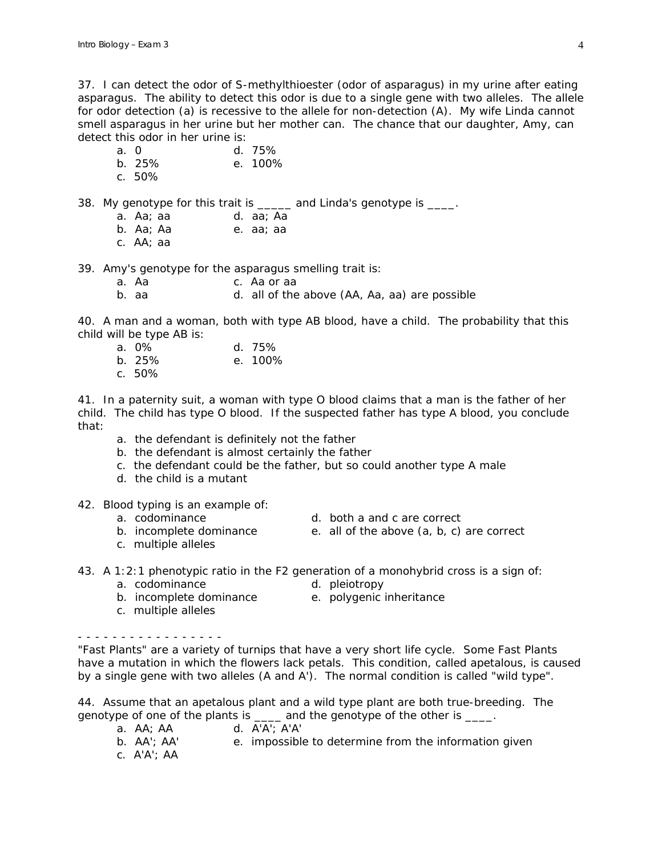37. I can detect the odor of S-methylthioester (odor of asparagus) in my urine after eating asparagus. The ability to detect this odor is due to a single gene with two alleles. The allele for odor detection (a) is recessive to the allele for non-detection (A). My wife Linda cannot smell asparagus in her urine but her mother can. The chance that our daughter, Amy, can detect this odor in her urine is:

- a. 0 d. 75%
- b. 25% e. 100%
- c. 50%

38. My genotype for this trait is \_\_\_\_\_ and Linda's genotype is \_\_\_\_.

- a. Aa; aa d. aa; Aa
- b. Aa; Aa e. aa; aa
- c. AA; aa

39. Amy's genotype for the asparagus smelling trait is:

- a. Aa c. Aa or aa
- b. aa d. all of the above (AA, Aa, aa) are possible

40. A man and a woman, both with type AB blood, have a child. The probability that this child will be type AB is:

- a. 0% d. 75%
- b. 25% e. 100%
- c. 50%

41. In a paternity suit, a woman with type O blood claims that a man is the father of her child. The child has type O blood. If the suspected father has type A blood, you conclude that:

- a. the defendant is definitely not the father
- b. the defendant is almost certainly the father
- c. the defendant could be the father, but so could another type A male
- d. the child is a mutant
- 42. Blood typing is an example of:
	-
	- a. codominance d. both a and c are correct
	- b. incomplete dominance  $\qquad \qquad$  e. all of the above  $(a, b, c)$  are correct
	- c. multiple alleles
- 43. A 1:2:1 phenotypic ratio in the F2 generation of a monohybrid cross is a sign of:
	-
- 
- b. incomplete dominance e. polygenic inheritance c. multiple alleles

- - - - - - - - - - - - - - - - -

"Fast Plants" are a variety of turnips that have a very short life cycle. Some Fast Plants have a mutation in which the flowers lack petals. This condition, called apetalous, is caused by a single gene with two alleles (A and A'). The normal condition is called "wild type".

44. Assume that an apetalous plant and a wild type plant are both true-breeding. The genotype of one of the plants is \_\_\_\_\_ and the genotype of the other is \_\_\_\_.

- a. AA; AA d. A'A'; A'A'
- b. AA'; AA' e. impossible to determine from the information given
- c. A'A'; AA
- 
- 
- -
- a. codominance d. pleiotropy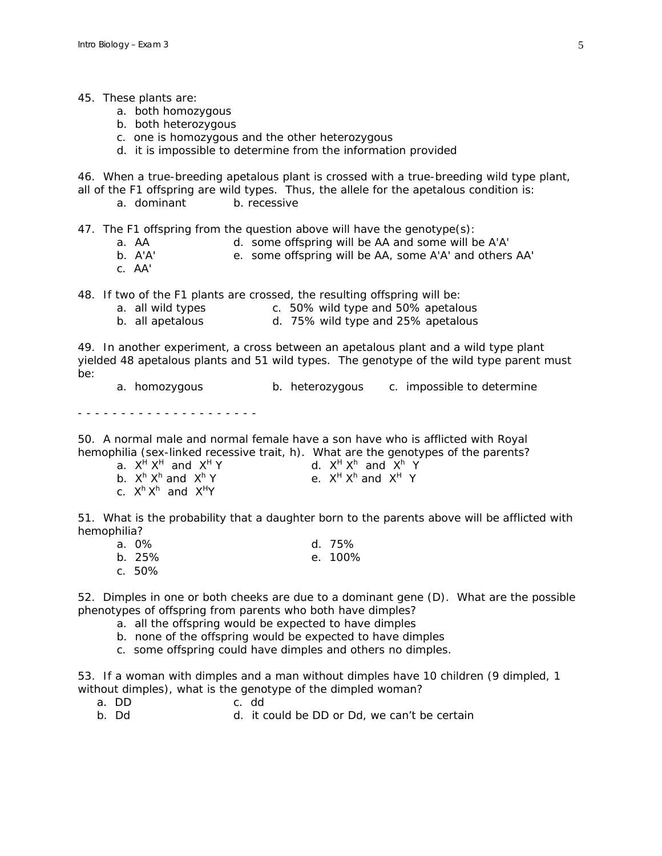#### 45. These plants are:

- a. both homozygous
- b. both heterozygous
- c. one is homozygous and the other heterozygous
- d. it is impossible to determine from the information provided

46. When a true-breeding apetalous plant is crossed with a true-breeding wild type plant, all of the F1 offspring are wild types. Thus, the allele for the apetalous condition is:

a. dominant b. recessive

47. The F1 offspring from the question above will have the genotype(s):

- a. AA d. some offspring will be AA and some will be A'A'
- b. A'A' e. some offspring will be AA, some A'A' and others AA'
- c. AA'

48. If two of the F1 plants are crossed, the resulting offspring will be:

- a. all wild types c. 50% wild type and 50% apetalous
- b. all apetalous d. 75% wild type and 25% apetalous

49. In another experiment, a cross between an apetalous plant and a wild type plant yielded 48 apetalous plants and 51 wild types. The genotype of the wild type parent must be:

a. homozygous b. heterozygous c. impossible to determine

- - - - - - - - - - - - - - - - - - - - -

50. A normal male and normal female have a son have who is afflicted with Royal hemophilia (sex-linked recessive trait, h). What are the genotypes of the parents?

| a. X <sup>H</sup> X <sup>H</sup> and X <sup>H</sup> Y | d. $X^H X^h$ and $X^h Y$ |
|-------------------------------------------------------|--------------------------|
| b. X <sup>h</sup> X <sup>h</sup> and X <sup>h</sup> Y | e. $X^H X^h$ and $X^H Y$ |
| c. X <sup>h</sup> X <sup>h</sup> and X <sup>H</sup> Y |                          |

51. What is the probability that a daughter born to the parents above will be afflicted with hemophilia?

| a. 0%     | d. $75%$ |
|-----------|----------|
| b. 25%    | e. 100%  |
| c. $50\%$ |          |

52. Dimples in one or both cheeks are due to a dominant gene (D). What are the possible phenotypes of offspring from parents who both have dimples?

- a. all the offspring would be expected to have dimples
- b. none of the offspring would be expected to have dimples
- c. some offspring could have dimples and others no dimples.

53. If a woman with dimples and a man without dimples have 10 children (9 dimpled, 1 without dimples), what is the genotype of the dimpled woman?

- a. DD c. dd<br>b. Dd d. it c
- d. it could be DD or Dd, we can't be certain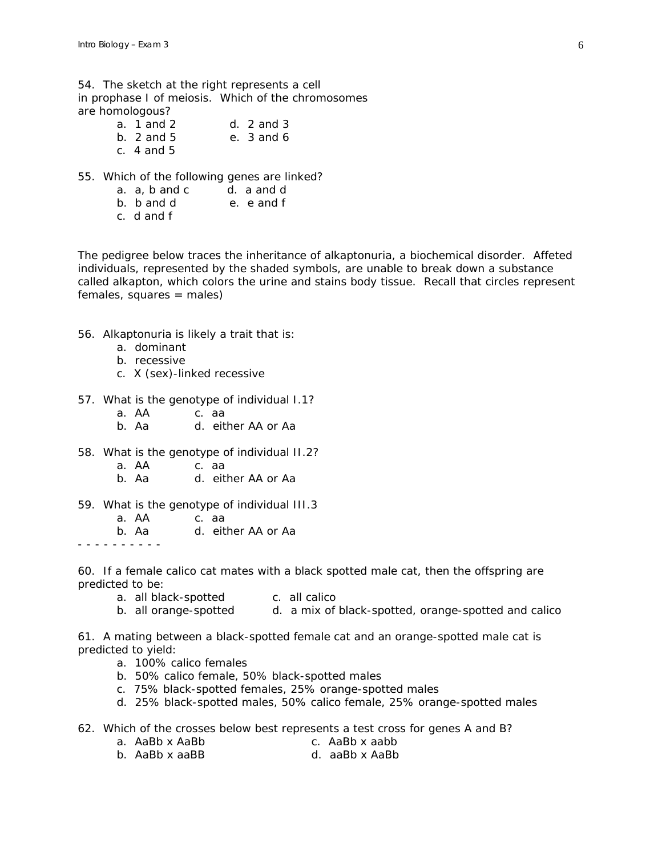54. The sketch at the right represents a cell in prophase I of meiosis. Which of the chromosomes are homologous?

- a. 1 and 2 d. 2 and 3<br>b. 2 and 5 e. 3 and 6 b. 2 and 5 e. 3 and 6 c. 4 and 5
- 55. Which of the following genes are linked?
	- a. a, b and c d. a and d
	- b. b and d e. e and f
	- c. d and f

The pedigree below traces the inheritance of alkaptonuria, a biochemical disorder. Affeted individuals, represented by the shaded symbols, are unable to break down a substance called alkapton, which colors the urine and stains body tissue. Recall that circles represent females, squares = males)

- 56. Alkaptonuria is likely a trait that is:
	- a. dominant
	- b. recessive
	- c. X (sex)-linked recessive
- 57. What is the genotype of individual I.1?
	- a. AA c. aa
	- b. Aa d. either AA or Aa
- 58. What is the genotype of individual II.2?
	- a. AA c. aa
	- b. Aa d. either AA or Aa
- 59. What is the genotype of individual III.3
	- a. AA c. aa
	- b. Aa d. either AA or Aa

- - - - - - - - - -

60. If a female calico cat mates with a black spotted male cat, then the offspring are predicted to be:

- a. all black-spotted c. all calico
- b. all orange-spotted a. a mix of black-spotted, orange-spotted and calico

61. A mating between a black-spotted female cat and an orange-spotted male cat is predicted to yield:

- a. 100% calico females
- b. 50% calico female, 50% black-spotted males
- c. 75% black-spotted females, 25% orange-spotted males
- d. 25% black-spotted males, 50% calico female, 25% orange-spotted males
- 62. Which of the crosses below best represents a test cross for genes A and B?
	- a. AaBb x AaBb c. AaBb x aabb
	- b. AaBb x aaBB d. aaBb x AaBb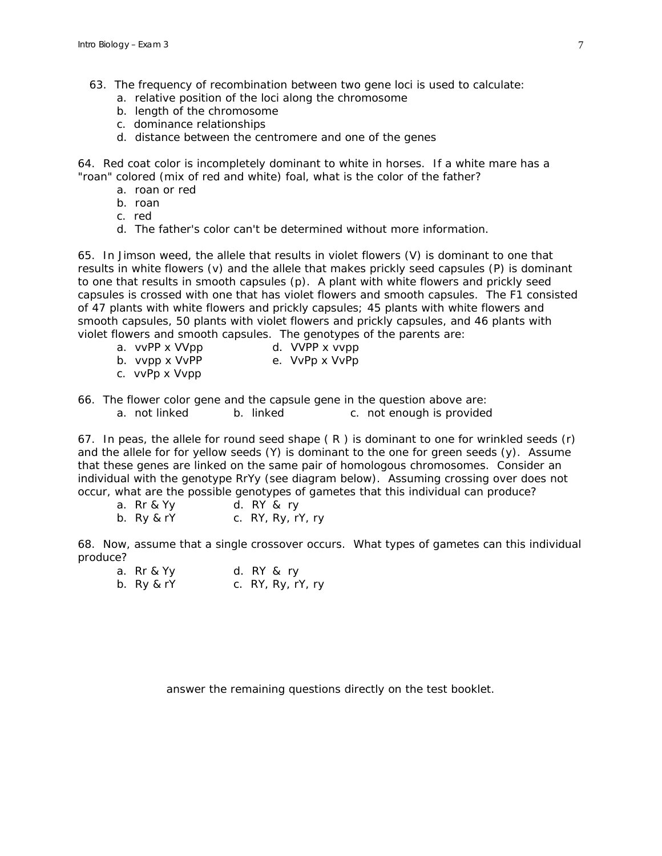- 63. The frequency of recombination between two gene loci is used to calculate:
	- a. relative position of the loci along the chromosome
	- b. length of the chromosome
	- c. dominance relationships
	- d. distance between the centromere and one of the genes

64. Red coat color is incompletely dominant to white in horses. If a white mare has a "roan" colored (mix of red and white) foal, what is the color of the father?

- a. roan or red
- b. roan
- c. red
- d. The father's color can't be determined without more information.

65. In Jimson weed, the allele that results in violet flowers (V) is dominant to one that results in white flowers (v) and the allele that makes prickly seed capsules (P) is dominant to one that results in smooth capsules (p). A plant with white flowers and prickly seed capsules is crossed with one that has violet flowers and smooth capsules. The F1 consisted of 47 plants with white flowers and prickly capsules; 45 plants with white flowers and smooth capsules, 50 plants with violet flowers and prickly capsules, and 46 plants with violet flowers and smooth capsules. The genotypes of the parents are:

- a. vvPP x VVpp d. VVPP x vvpp
- b. vvpp x VvPP e. VvPp x VvPp
- c. vvPp x Vvpp
- 66. The flower color gene and the capsule gene in the question above are: a. not linked b. linked c. not enough is provided

67. In peas, the allele for round seed shape  $(R)$  is dominant to one for wrinkled seeds  $(r)$ and the allele for for yellow seeds (Y) is dominant to the one for green seeds (y). Assume that these genes are linked on the same pair of homologous chromosomes. Consider an individual with the genotype RrYy (see diagram below). Assuming crossing over does not occur, what are the possible genotypes of gametes that this individual can produce?

a. Rr & Yy d. RY & ry

b. Ry & rY c. RY, Ry, rY, ry

68. Now, assume that a single crossover occurs. What types of gametes can this individual produce?

a. Rr & Yy d. RY & ry b. Ry & rY c. RY, Ry, rY, ry

*answer the remaining questions directly on the test booklet.*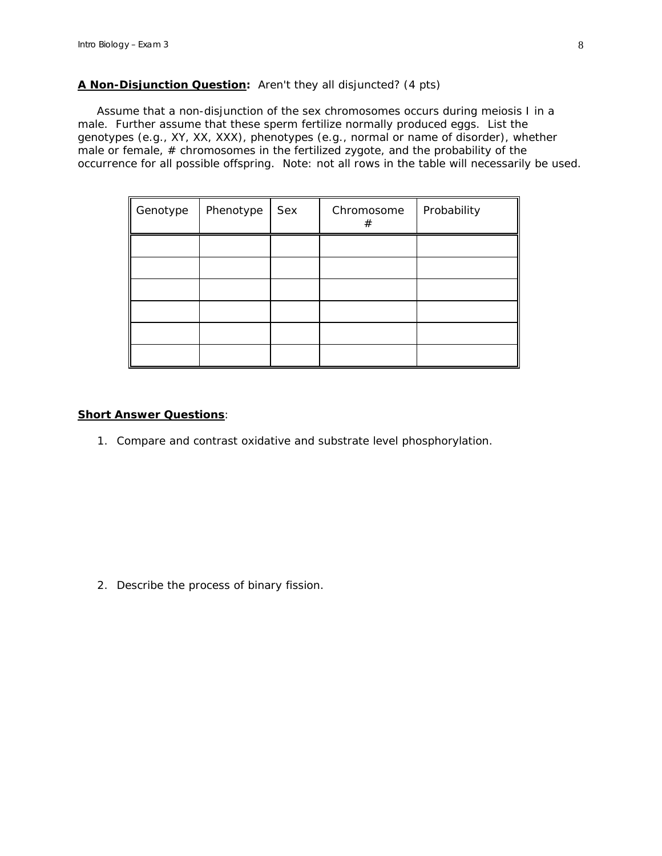### **A Non-Disjunction Question:** *Aren't they all disjuncted?* (4 pts)

 Assume that a non-disjunction of the sex chromosomes occurs during meiosis I in a male. Further assume that these sperm fertilize normally produced eggs. List the genotypes (*e.g.,* XY, XX, XXX), phenotypes (*e.g.,* normal or name of disorder), whether male or female, # chromosomes in the fertilized zygote, and the probability of the occurrence for all possible offspring. Note: not all rows in the table will necessarily be used.

| Genotype | Phenotype | Sex | Chromosome<br>$^{\#}$ | Probability |
|----------|-----------|-----|-----------------------|-------------|
|          |           |     |                       |             |
|          |           |     |                       |             |
|          |           |     |                       |             |
|          |           |     |                       |             |
|          |           |     |                       |             |
|          |           |     |                       |             |

#### **Short Answer Questions**:

1. Compare and contrast oxidative and substrate level phosphorylation.

2. Describe the process of binary fission.